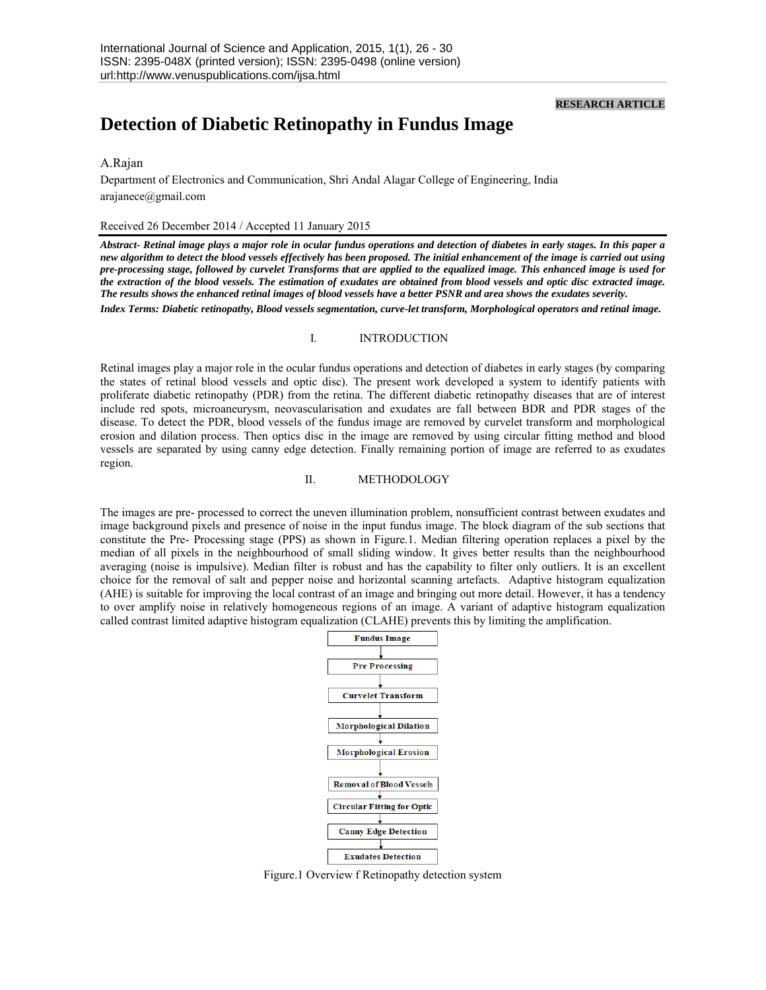### **RESEARCH ARTICLE**

# **Detection of Diabetic Retinopathy in Fundus Image**

# A.Rajan

Department of Electronics and Communication, Shri Andal Alagar College of Engineering, India arajanece@gmail.com

#### Received 26 December 2014 / Accepted 11 January 2015

*Abstract- Retinal image plays a major role in ocular fundus operations and detection of diabetes in early stages. In this paper a new algorithm to detect the blood vessels effectively has been proposed. The initial enhancement of the image is carried out using pre-processing stage, followed by curvelet Transforms that are applied to the equalized image. This enhanced image is used for the extraction of the blood vessels. The estimation of exudates are obtained from blood vessels and optic disc extracted image. The results shows the enhanced retinal images of blood vessels have a better PSNR and area shows the exudates severity.* 

*Index Terms: Diabetic retinopathy, Blood vessels segmentation, curve-let transform, Morphological operators and retinal image.*

## I. INTRODUCTION

Retinal images play a major role in the ocular fundus operations and detection of diabetes in early stages (by comparing the states of retinal blood vessels and optic disc). The present work developed a system to identify patients with proliferate diabetic retinopathy (PDR) from the retina. The different diabetic retinopathy diseases that are of interest include red spots, microaneurysm, neovascularisation and exudates are fall between BDR and PDR stages of the disease. To detect the PDR, blood vessels of the fundus image are removed by curvelet transform and morphological erosion and dilation process. Then optics disc in the image are removed by using circular fitting method and blood vessels are separated by using canny edge detection. Finally remaining portion of image are referred to as exudates region.

## II. METHODOLOGY

The images are pre- processed to correct the uneven illumination problem, nonsufficient contrast between exudates and image background pixels and presence of noise in the input fundus image. The block diagram of the sub sections that constitute the Pre- Processing stage (PPS) as shown in Figure.1. Median filtering operation replaces a pixel by the median of all pixels in the neighbourhood of small sliding window. It gives better results than the neighbourhood averaging (noise is impulsive). Median filter is robust and has the capability to filter only outliers. It is an excellent choice for the removal of salt and pepper noise and horizontal scanning artefacts. Adaptive histogram equalization (AHE) is suitable for improving the local contrast of an image and bringing out more detail. However, it has a tendency to over amplify noise in relatively homogeneous regions of an image. A variant of adaptive histogram equalization called contrast limited adaptive histogram equalization (CLAHE) prevents this by limiting the amplification.



Figure.1 Overview f Retinopathy detection system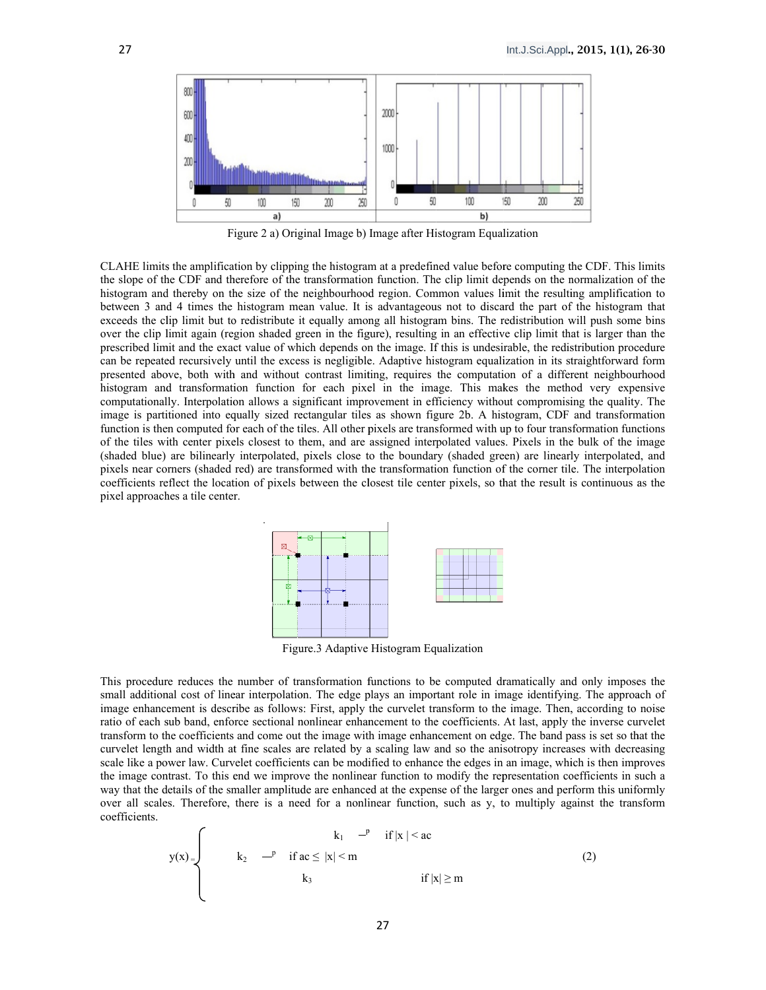

Figure 2 a) Original Image b) Image after Histogram Equalization

CLAHE limits the amplification by clipping the histogram at a predefined value before computing the CDF. This limits the slope of the CDF and therefore of the transformation function. The clip limit depends on the normalization of the histogram and thereby on the size of the neighbourhood region. Common values limit the resulting amplification to between 3 and 4 times the histogram mean value. It is advantageous not to discard the part of the histogram that exceeds the clip limit but to redistribute it equally among all histogram bins. The redistribution will push some bins over the clip limit again (region shaded green in the figure), resulting in an effective clip limit that is larger than the prescribed limit and the exact value of which depends on the image. If this is undesirable, the redistribution procedure can be repeated recursively until the excess is negligible. Adaptive histogram equalization in its straightforward form presented above, both with and without contrast limiting, requires the computation of a different neighbourhood histogram and transformation function for each pixel in the image. This makes the method very expensive computationally. Interpolation allows a significant improvement in efficiency without compromising the quality. The image is partitioned into equally sized rectangular tiles as shown figure 2b. A histogram, CDF and transformation function is then computed for each of the tiles. All other pixels are transformed with up to four transformation functions of the tiles with center pixels closest to them, and are assigned interpolated values. Pixels in the bulk of the image (shaded blue) are bilinearly interpolated, pixels close to the boundary (shaded green) are linearly interpolated, and pixels near corners (shaded red) are transformed with the transformation function of the corner tile. The interpolation coefficients reflect the location of pixels between the closest tile center pixels, so that the result is continuous as the pixel approaches a tile center.



Figure.3 Adaptive Histogram Equalization

This procedure reduces the number of transformation functions to be computed dramatically and only imposes the small additional cost of linear interpolation. The edge plays an important role in image identifying. The approach of image enhancement is describe as follows: First, apply the curvelet transform to the image. Then, according to noise ratio of each sub band, enforce sectional nonlinear enhancement to the coefficients. At last, apply the inverse curvelet transform to the coefficients and come out the image with image enhancement on edge. The band pass is set so that the curvelet length and width at fine scales are related by a scaling law and so the anisotropy increases with decreasing scale like a power law. Curvelet coefficients can be modified to enhance the edges in an image, which is then improves the image contrast. To this end we improve the nonlinear function to modify the representation coefficients in such a way that the details of the smaller amplitude are enhanced at the expense of the larger ones and perform this uniformly over all scales. Therefore, there is a need for a nonlinear function, such as y, to multiply against the transform coefficients.

$$
y(x) =\n\begin{cases}\n\text{ } & k_1 \quad \text{if } |x| < ac \\
\text{if } a < |x| < m \\
\text{if } k_3 \quad \text{if } |x| \ge m\n\end{cases}\n\tag{2}
$$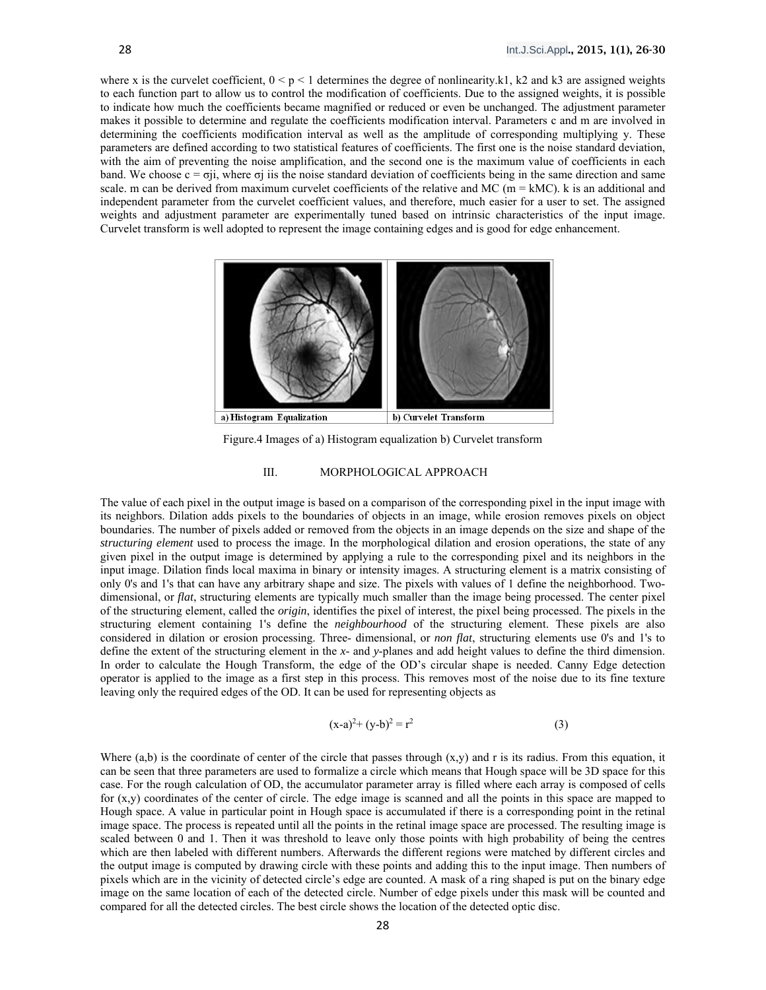where x is the curvelet coefficient,  $0 \le p \le 1$  determines the degree of nonlinearity.k1, k2 and k3 are assigned weights to each function part to allow us to control the modification of coefficients. Due to the assigned weights, it is possible to indicate how much the coefficients became magnified or reduced or even be unchanged. The adjustment parameter makes it possible to determine and regulate the coefficients modification interval. Parameters c and m are involved in determining the coefficients modification interval as well as the amplitude of corresponding multiplying y. These parameters are defined according to two statistical features of coefficients. The first one is the noise standard deviation, with the aim of preventing the noise amplification, and the second one is the maximum value of coefficients in each band. We choose  $c = \sigma ii$ , where  $\sigma i$  iis the noise standard deviation of coefficients being in the same direction and same scale. m can be derived from maximum curvelet coefficients of the relative and MC ( $m = kMC$ ). k is an additional and independent parameter from the curvelet coefficient values, and therefore, much easier for a user to set. The assigned weights and adjustment parameter are experimentally tuned based on intrinsic characteristics of the input image. Curvelet transform is well adopted to represent the image containing edges and is good for edge enhancement.



Figure.4 Images of a) Histogram equalization b) Curvelet transform

### III. MORPHOLOGICAL APPROACH

The value of each pixel in the output image is based on a comparison of the corresponding pixel in the input image with its neighbors. Dilation adds pixels to the boundaries of objects in an image, while erosion removes pixels on object boundaries. The number of pixels added or removed from the objects in an image depends on the size and shape of the *structuring element* used to process the image. In the morphological dilation and erosion operations, the state of any given pixel in the output image is determined by applying a rule to the corresponding pixel and its neighbors in the input image. Dilation finds local maxima in binary or intensity images. A structuring element is a matrix consisting of only 0's and 1's that can have any arbitrary shape and size. The pixels with values of 1 define the neighborhood. Twodimensional, or *flat*, structuring elements are typically much smaller than the image being processed. The center pixel of the structuring element, called the *origin*, identifies the pixel of interest, the pixel being processed. The pixels in the structuring element containing 1's define the *neighbourhood* of the structuring element. These pixels are also considered in dilation or erosion processing. Three- dimensional, or *non flat*, structuring elements use 0's and 1's to define the extent of the structuring element in the *x*- and *y*-planes and add height values to define the third dimension. In order to calculate the Hough Transform, the edge of the OD's circular shape is needed. Canny Edge detection operator is applied to the image as a first step in this process. This removes most of the noise due to its fine texture leaving only the required edges of the OD. It can be used for representing objects as

$$
(x-a)^2 + (y-b)^2 = r^2
$$
 (3)

Where  $(a,b)$  is the coordinate of center of the circle that passes through  $(x,y)$  and r is its radius. From this equation, it can be seen that three parameters are used to formalize a circle which means that Hough space will be 3D space for this case. For the rough calculation of OD, the accumulator parameter array is filled where each array is composed of cells for  $(x,y)$  coordinates of the center of circle. The edge image is scanned and all the points in this space are mapped to Hough space. A value in particular point in Hough space is accumulated if there is a corresponding point in the retinal image space. The process is repeated until all the points in the retinal image space are processed. The resulting image is scaled between 0 and 1. Then it was threshold to leave only those points with high probability of being the centres which are then labeled with different numbers. Afterwards the different regions were matched by different circles and the output image is computed by drawing circle with these points and adding this to the input image. Then numbers of pixels which are in the vicinity of detected circle's edge are counted. A mask of a ring shaped is put on the binary edge image on the same location of each of the detected circle. Number of edge pixels under this mask will be counted and compared for all the detected circles. The best circle shows the location of the detected optic disc.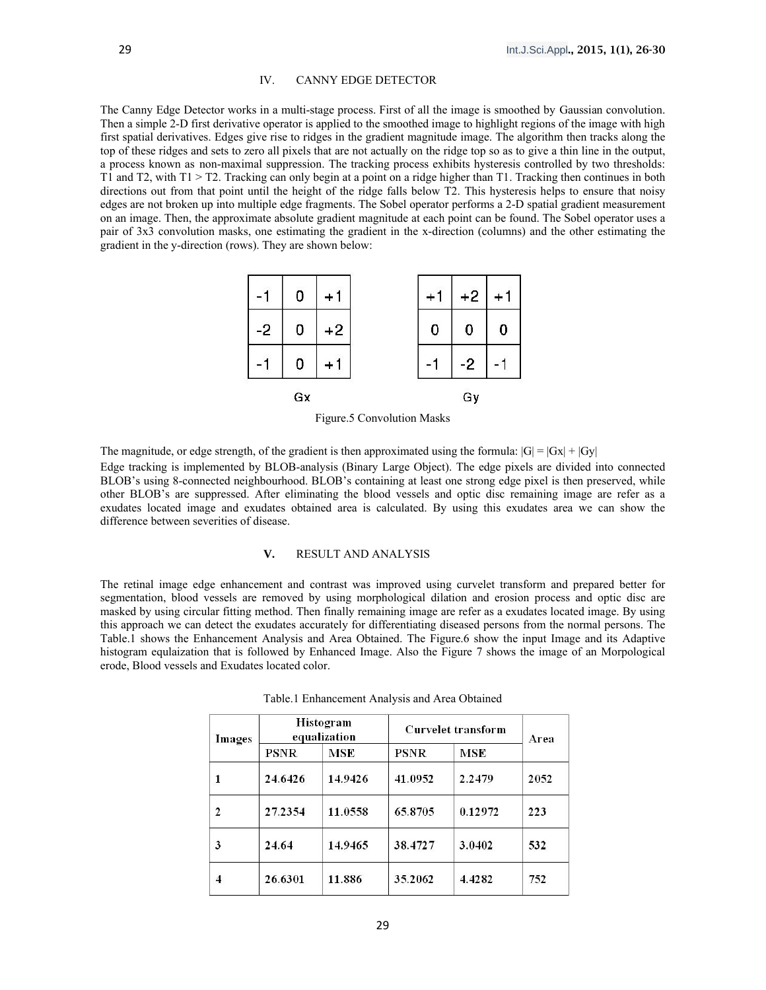## IV. CANNY EDGE DETECTOR

The Canny Edge Detector works in a multi-stage process. First of all the image is smoothed by Gaussian convolution. Then a simple 2-D first derivative operator is applied to the smoothed image to highlight regions of the image with high first spatial derivatives. Edges give rise to ridges in the gradient magnitude image. The algorithm then tracks along the top of these ridges and sets to zero all pixels that are not actually on the ridge top so as to give a thin line in the output, a process known as non-maximal suppression. The tracking process exhibits hysteresis controlled by two thresholds: T1 and T2, with T1 > T2. Tracking can only begin at a point on a ridge higher than T1. Tracking then continues in both directions out from that point until the height of the ridge falls below T2. This hysteresis helps to ensure that noisy edges are not broken up into multiple edge fragments. The Sobel operator performs a 2-D spatial gradient measurement on an image. Then, the approximate absolute gradient magnitude at each point can be found. The Sobel operator uses a pair of 3x3 convolution masks, one estimating the gradient in the x-direction (columns) and the other estimating the gradient in the y-direction (rows). They are shown below:



Figure.5 Convolution Masks

The magnitude, or edge strength, of the gradient is then approximated using the formula:  $|G| = |Gx| + |Gy|$ 

Edge tracking is implemented by BLOB-analysis (Binary Large Object). The edge pixels are divided into connected BLOB's using 8-connected neighbourhood. BLOB's containing at least one strong edge pixel is then preserved, while other BLOB's are suppressed. After eliminating the blood vessels and optic disc remaining image are refer as a exudates located image and exudates obtained area is calculated. By using this exudates area we can show the difference between severities of disease.

# **V.** RESULT AND ANALYSIS

The retinal image edge enhancement and contrast was improved using curvelet transform and prepared better for segmentation, blood vessels are removed by using morphological dilation and erosion process and optic disc are masked by using circular fitting method. Then finally remaining image are refer as a exudates located image. By using this approach we can detect the exudates accurately for differentiating diseased persons from the normal persons. The Table.1 shows the Enhancement Analysis and Area Obtained. The Figure.6 show the input Image and its Adaptive histogram equlaization that is followed by Enhanced Image. Also the Figure 7 shows the image of an Morpological erode, Blood vessels and Exudates located color.

| Images | Histogram<br>equalization |            | <b>Curvelet transform</b> |            | Area |
|--------|---------------------------|------------|---------------------------|------------|------|
|        | <b>PSNR</b>               | <b>MSE</b> | PSNR                      | <b>MSE</b> |      |
|        | 24.6426                   | 14.9426    | 41.0952                   | 2.2479     | 2052 |
| 2      | 27.2354                   | 11.0558    | 65.8705                   | 0.12972    | 223  |
| 3      | 24.64                     | 14.9465    | 38.4727                   | 3.0402     | 532  |
| 4      | 26.6301                   | 11.886     | 35.2062                   | 4.4282     | 752  |

Table.1 Enhancement Analysis and Area Obtained